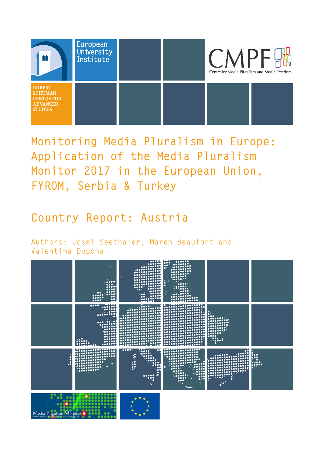

**Monitoring Media Pluralism in Europe: Application of the Media Pluralism Monitor 2017 in the European Union, FYROM, Serbia & Turkey**

**Country Report: Austria**

Authors: Josef Seethaler, Maren Beaufort and Valentina Dopona

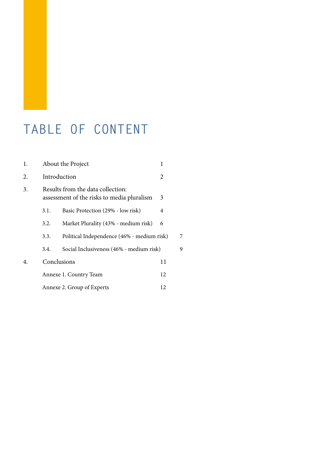### **TABLE OF CONTENT**

| 1. | About the Project<br>1                                                               |                                      |   |   |
|----|--------------------------------------------------------------------------------------|--------------------------------------|---|---|
| 2. | Introduction<br>2                                                                    |                                      |   |   |
| 3. | Results from the data collection:<br>assessment of the risks to media pluralism<br>3 |                                      |   |   |
|    | 3.1.                                                                                 | Basic Protection (29% - low risk)    | 4 |   |
|    | 3.2.                                                                                 | Market Plurality (43% - medium risk) | 6 |   |
|    | Political Independence (46% - medium risk)<br>3.3.                                   |                                      |   | 7 |
|    | Social Inclusiveness (46% - medium risk)<br>3.4.                                     |                                      |   | 9 |
| 4. | Conclusions                                                                          | 11                                   |   |   |
|    | Annexe 1. Country Team                                                               | 12                                   |   |   |
|    | Annexe 2. Group of Experts                                                           |                                      |   |   |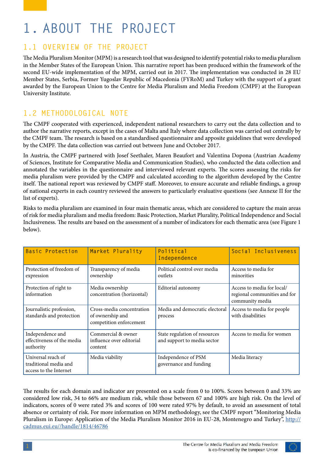# **1. ABOUT THE PROJECT**

#### **1.1 OVERVIEW OF THE PROJECT**

The Media Pluralism Monitor (MPM) is a research tool that was designed to identify potential risks to media pluralism in the Member States of the European Union. This narrative report has been produced within the framework of the second EU-wide implementation of the MPM, carried out in 2017. The implementation was conducted in 28 EU Member States, Serbia, Former Yugoslav Republic of Macedonia (FYRoM) and Turkey with the support of a grant awarded by the European Union to the Centre for Media Pluralism and Media Freedom (CMPF) at the European University Institute.

#### **1.2 METHODOLOGICAL NOTE**

The CMPF cooperated with experienced, independent national researchers to carry out the data collection and to author the narrative reports, except in the cases of Malta and Italy where data collection was carried out centrally by the CMPF team. The research is based on a standardised questionnaire and apposite guidelines that were developed by the CMPF. The data collection was carried out between June and October 2017.

In Austria, the CMPF partnered with Josef Seethaler, Maren Beaufort and Valentina Dopona (Austrian Academy of Sciences, Institute for Comparative Media and Communication Studies), who conducted the data collection and annotated the variables in the questionnaire and interviewed relevant experts. The scores assessing the risks for media pluralism were provided by the CMPF and calculated according to the algorithm developed by the Centre itself. The national report was reviewed by CMPF staff. Moreover, to ensure accurate and reliable findings, a group of national experts in each country reviewed the answers to particularly evaluative questions (see Annexe II for the list of experts).

Risks to media pluralism are examined in four main thematic areas, which are considered to capture the main areas of risk for media pluralism and media freedom: Basic Protection, Market Plurality, Political Independence and Social Inclusiveness. The results are based on the assessment of a number of indicators for each thematic area (see Figure 1 below).

| <b>Basic Protection</b>                                               | Market Plurality                                                         | Political<br>Independence                                    | Social Inclusiveness                                                          |
|-----------------------------------------------------------------------|--------------------------------------------------------------------------|--------------------------------------------------------------|-------------------------------------------------------------------------------|
| Protection of freedom of<br>expression                                | Transparency of media<br>ownership                                       | Political control over media<br>outlets                      | Access to media for<br>minorities                                             |
| Protection of right to<br>information                                 | Media ownership<br>concentration (horizontal)                            | Editorial autonomy                                           | Access to media for local/<br>regional communities and for<br>community media |
| Journalistic profession,<br>standards and protection                  | Cross-media concentration<br>of ownership and<br>competition enforcement | Media and democratic electoral<br>process                    | Access to media for people<br>with disabilities                               |
| Independence and<br>effectiveness of the media<br>authority           | Commercial & owner<br>influence over editorial<br>content                | State regulation of resources<br>and support to media sector | Access to media for women                                                     |
| Universal reach of<br>traditional media and<br>access to the Internet | Media viability                                                          | Independence of PSM<br>governance and funding                | Media literacy                                                                |

The results for each domain and indicator are presented on a scale from 0 to 100%. Scores between 0 and 33% are considered low risk, 34 to 66% are medium risk, while those between 67 and 100% are high risk. On the level of indicators, scores of 0 were rated 3% and scores of 100 were rated 97% by default, to avoid an assessment of total absence or certainty of risk. For more information on MPM methodology, see the CMPF report "Monitoring Media Pluralism in Europe: Application of the Media Pluralism Monitor 2016 in EU-28, Montenegro and Turkey", [http://](http://cadmus.eui.eu//handle/1814/46786) [cadmus.eui.eu//handle/1814/46786](http://cadmus.eui.eu//handle/1814/46786)

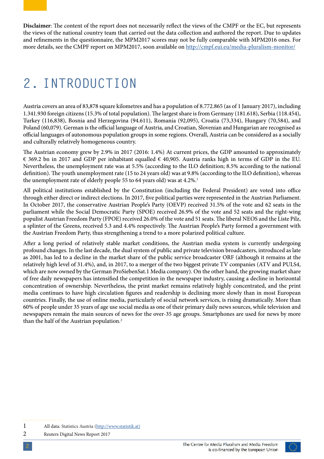**Disclaimer**: The content of the report does not necessarily reflect the views of the CMPF or the EC, but represents the views of the national country team that carried out the data collection and authored the report. Due to updates and refinements in the questionnaire, the MPM2017 scores may not be fully comparable with MPM2016 ones. For more details, see the CMPF report on MPM2017, soon available on <http://cmpf.eui.eu/media-pluralism-monitor/>

## **2. INTRODUCTION**

Austria covers an area of 83,878 square kilometres and has a population of 8.772.865 (as of 1 January 2017), including 1.341.930 foreign citizens (15.3% of total population). The largest share is from Germany (181.618), Serbia (118.454), Turkey (116,838), Bosnia and Herzegovina (94.611), Romania (92,095), Croatia (73,334), Hungary (70,584), and Poland (60,079). German is the official language of Austria, and Croatian, Slovenian and Hungarian are recognised as official languages of autonomous population groups in some regions. Overall, Austria can be considered as a socially and culturally relatively homogeneous country.

The Austrian economy grew by 2.9% in 2017 (2016: 1.4%) At current prices, the GDP amounted to approximately € 369.2 bn in 2017 and GDP per inhabitant equalled  $€$  40,905. Austria ranks high in terms of GDP in the EU. Nevertheless, the unemployment rate was at 5.5% (according to the ILO definition; 8.5% according to the national definition). The youth unemployment rate (15 to 24 years old) was at 9.8% (according to the ILO definition), whereas the unemployment rate of elderly people 55 to 64 years old) was at 4.2%.<sup>1</sup>

All political institutions established by the Constitution (including the Federal President) are voted into office through either direct or indirect elections. In 2017, five political parties were represented in the Austrian Parliament. In October 2017, the conservative Austrian People's Party (OEVP) received 31.5% of the vote and 62 seats in the parliament while the Social Democratic Party (SPOE) received 26.9% of the vote and 52 seats and the right-wing populist Austrian Freedom Party (FPOE) received 26.0% of the vote and 51 seats. The liberal NEOS and the Liste Pilz, a splinter of the Greens, received 5.3 and 4.4% respectively. The Austrian People's Party formed a government with the Austrian Freedom Party, thus strengthening a trend to a more polarized political culture.

After a long period of relatively stable market conditions, the Austrian media system is currently undergoing profound changes. In the last decade, the dual system of public and private television broadcasters, introduced as late as 2001, has led to a decline in the market share of the public service broadcaster ORF (although it remains at the relatively high level of 31.4%), and, in 2017, to a merger of the two biggest private TV companies (ATV and PULS4, which are now owned by the German ProSiebenSat.1 Media company). On the other hand, the growing market share of free daily newspapers has intensified the competition in the newspaper industry, causing a decline in horizontal concentration of ownership. Nevertheless, the print market remains relatively highly concentrated, and the print media continues to have high circulation figures and readership is declining more slowly than in most European countries. Finally, the use of online media, particularly of social network services, is rising dramatically. More than 60% of people under 35 years of age use social media as one of their primary daily news sources, while television and newspapers remain the main sources of news for the over-35 age groups. Smartphones are used for news by more than the half of the Austrian population.<sup>2</sup>

2 Reuters Digital News Report 2017



<sup>1</sup> All data: Statistics Austria ([http://www.statistik.at\)](http://www.statistik.at)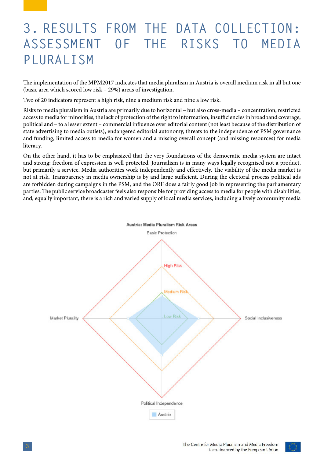## **3. RESULTS FROM THE DATA COLLECTION: ASSESSMENT OF THE RISKS TO MEDIA PLURALISM**

The implementation of the MPM2017 indicates that media pluralism in Austria is overall medium risk in all but one (basic area which scored low risk – 29%) areas of investigation.

Two of 20 indicators represent a high risk, nine a medium risk and nine a low risk.

Risks to media pluralism in Austria are primarily due to horizontal – but also cross-media – concentration, restricted access to media for minorities, the lack of protection of the right to information, insufficiencies in broadband coverage, political and – to a lesser extent – commercial influence over editorial content (not least because of the distribution of state advertising to media outlets), endangered editorial autonomy, threats to the independence of PSM governance and funding, limited access to media for women and a missing overall concept (and missing resources) for media literacy.

On the other hand, it has to be emphasized that the very foundations of the democratic media system are intact and strong: freedom of expression is well protected. Journalism is in many ways legally recognised not a product, but primarily a service. Media authorities work independently and effectively. The viability of the media market is not at risk. Transparency in media ownership is by and large sufficient. During the electoral process political ads are forbidden during campaigns in the PSM, and the ORF does a fairly good job in representing the parliamentary parties. The public service broadcaster feels also responsible for providing access to media for people with disabilities, and, equally important, there is a rich and varied supply of local media services, including a lively community media



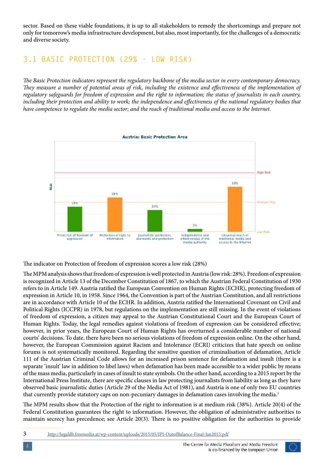sector. Based on these viable foundations, it is up to all stakeholders to remedy the shortcomings and prepare not only for tomorrow's media infrastructure development, but also, most importantly, for the challenges of a democratic and diverse society.

#### **3.1 BASIC PROTECTION (29% - LOW RISK)**

*The Basic Protection indicators represent the regulatory backbone of the media sector in every contemporary democracy. They measure a number of potential areas of risk, including the existence and effectiveness of the implementation of regulatory safeguards for freedom of expression and the right to information; the status of journalists in each country,*  including their protection and ability to work; the independence and effectiveness of the national regulatory bodies that *have competence to regulate the media sector; and the reach of traditional media and access to the Internet.*



The indicator on Protection of freedom of expression scores a low risk (28%)

The MPM analysis shows that freedom of expression is well protected in Austria (low risk: 28%). Freedom of expression is recognized in Article 13 of the December Constitution of 1867, to which the Austrian Federal Constitution of 1930 refers to in Article 149. Austria ratified the European Convention on Human Rights (ECHR), protecting freedom of expression in Article 10, in 1958. Since 1964, the Convention is part of the Austrian Constitution, and all restrictions are in accordance with Article 10 of the ECHR. In addition, Austria ratified the International Covenant on Civil and Political Rights (ICCPR) in 1978, but regulations on the implementation are still missing. In the event of violations of freedom of expression, a citizen may appeal to the Austrian Constitutional Court and the European Court of Human Rights. Today, the legal remedies against violations of freedom of expression can be considered effective; however, in prior years, the European Court of Human Rights has overturned a considerable number of national courts' decisions. To date, there have been no serious violations of freedom of expression online. On the other hand, however, the European Commission against Racism and Intolerance (ECRI) criticizes that hate speech on online forums is not systematically monitored. Regarding the sensitive question of criminalisation of defamation, Article 111 of the Austrian Criminal Code allows for an increased prison sentence for defamation and insult (there is a separate 'insult' law in addition to libel laws) when defamation has been made accessible to a wider public by means of the mass media, particularly in cases of insult to state symbols. On the other hand, according to a 2015 report by the International Press Institute, there are specific clauses in law protecting journalists from liability as long as they have observed basic journalistic duties (Article 29 of the Media Act of 1981), and Austria is one of only two EU countries that currently provide statutory caps on non-pecuniary damages in defamation cases involving the media.<sup>3</sup>

The MPM results show that the Protection of the right to information is at medium risk (38%). Article 20(4) of the Federal Constitution guarantees the right to information. However, the obligation of administrative authorities to maintain secrecy has precedence; see Article 20(3). There is no positive obligation for the authorities to provide

3 <http://legaldb.freemedia.at/wp-content/uploads/2015/05/IPI-OutofBalance-Final-Jan2015.pdf>

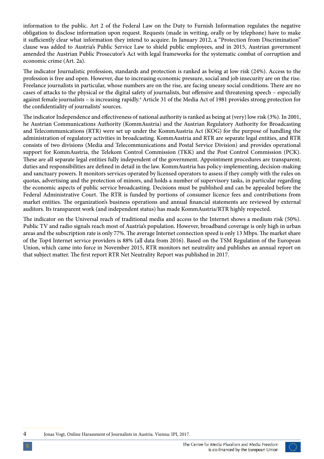information to the public. Art 2 of the Federal Law on the Duty to Furnish Information regulates the negative obligation to disclose information upon request. Requests (made in writing, orally or by telephone) have to make it sufficiently clear what information they intend to acquire. In January 2012, a "Protection from Discrimination" clause was added to Austria's Public Service Law to shield public employees, and in 2015, Austrian government amended the Austrian Public Prosecutor's Act with legal frameworks for the systematic combat of corruption and economic crime (Art. 2a).

The indicator Journalistic profession, standards and protection is ranked as being at low risk (24%). Access to the profession is free and open. However, due to increasing economic pressure, social and job insecurity are on the rise. Freelance journalists in particular, whose numbers are on the rise, are facing uneasy social conditions. There are no cases of attacks to the physical or the digital safety of journalists, but offensive and threatening speech – especially against female journalists – is increasing rapidly.<sup>4</sup> Article 31 of the Media Act of 1981 provides strong protection for the confidentiality of journalists' sources.

The indicator Independence and effectiveness of national authority is ranked as being at (very) low risk (3%). In 2001, he Austrian Communications Authority (KommAustria) and the Austrian Regulatory Authority for Broadcasting and Telecommunications (RTR) were set up under the KommAustria Act (KOG) for the purpose of handling the administration of regulatory activities in broadcasting. KommAustria and RTR are separate legal entities, and RTR consists of two divisions (Media and Telecommunications and Postal Service Division) and provides operational support for KommAustria, the Telekom Control Commission (TKK) and the Post Control Commission (PCK). These are all separate legal entities fully independent of the government. Appointment procedures are transparent; duties and responsibilities are defined in detail in the law. KommAustria has policy-implementing, decision-making and sanctuary powers. It monitors services operated by licensed operators to assess if they comply with the rules on quotas, advertising and the protection of minors, and holds a number of supervisory tasks, in particular regarding the economic aspects of public service broadcasting. Decisions must be published and can be appealed before the Federal Administrative Court. The RTR is funded by portions of consumer licence fees and contributions from market entities. The organization's business operations and annual financial statements are reviewed by external auditors. Its transparent work (and independent status) has made KommAustria/RTR highly respected.

The indicator on the Universal reach of traditional media and access to the Internet shows a medium risk (50%). Public TV and radio signals reach most of Austria's population. However, broadband coverage is only high in urban areas and the subscription rate is only 77%. The average Internet connection speed is only 13 Mbps. The market share of the Top4 Internet service providers is 88% (all data from 2016). Based on the TSM Regulation of the European Union, which came into force in November 2015, RTR monitors net neutrality and publishes an annual report on that subject matter. The first report RTR Net Neutrality Report was published in 2017.

4 Jonas Vogt, Online Harassment of Journalists in Austria. Vienna: IPI, 2017.

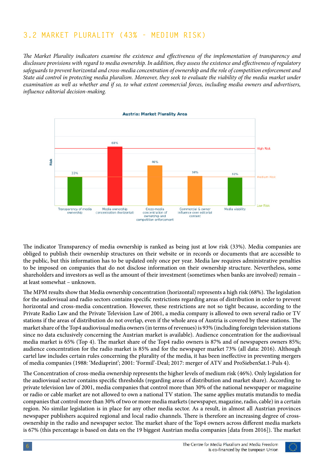#### **3.2 MARKET PLURALITY (43% - MEDIUM RISK)**

*The Market Plurality indicators examine the existence and effectiveness of the implementation of transparency and disclosure provisions with regard to media ownership. In addition, they assess the existence and effectiveness of regulatory safeguards to prevent horizontal and cross-media concentration of ownership and the role of competition enforcement and State aid control in protecting media pluralism. Moreover, they seek to evaluate the viability of the media market under examination as well as whether and if so, to what extent commercial forces, including media owners and advertisers, influence editorial decision-making.*



The indicator Transparency of media ownership is ranked as being just at low risk (33%). Media companies are obliged to publish their ownership structures on their website or in records or documents that are accessible to the public, but this information has to be updated only once per year. Media law requires administrative penalties to be imposed on companies that do not disclose information on their ownership structure. Nevertheless, some shareholders and investors as well as the amount of their investment (sometimes when banks are involved) remain – at least somewhat – unknown.

The MPM results show that Media ownership concentration (horizontal) represents a high risk (68%). The legislation for the audiovisual and radio sectors contains specific restrictions regarding areas of distribution in order to prevent horizontal and cross-media concentration. However, these restrictions are not so tight because, according to the Private Radio Law and the Private Television Law of 2001, a media company is allowed to own several radio or TV stations if the areas of distribution do not overlap, even if the whole area of Austria is covered by these stations. The market share of the Top4 audiovisual media owners (in terms of revenues) is 93% (including foreign television stations since no data exclusively concerning the Austrian market is available). Audience concentration for the audiovisual media market is 65% (Top 4). The market share of the Top4 radio owners is 87% and of newspapers owners 85%; audience concentration for the radio market is 85% and for the newspaper market 73% (all data: 2016). Although cartel law includes certain rules concerning the plurality of the media, it has been ineffective in preventing mergers of media companies (1988: 'Mediaprint'; 2001: 'Formil'-Deal; 2017: merger of ATV and ProSiebenSat.1-Puls 4).

The Concentration of cross-media ownership represents the higher levels of medium risk (46%). Only legislation for the audiovisual sector contains specific thresholds (regarding areas of distribution and market share). According to private television law of 2001, media companies that control more than 30% of the national newspaper or magazine or radio or cable market are not allowed to own a national TV station. The same applies mutatis mutandis to media companies that control more than 30% of two or more media markets (newspaper, magazine, radio, cable) in a certain region. No similar legislation is in place for any other media sector. As a result, in almost all Austrian provinces newspaper publishers acquired regional and local radio channels. There is therefore an increasing degree of crossownership in the radio and newspaper sector. The market share of the Top4 owners across different media markets is 67% (this percentage is based on data on the 19 biggest Austrian media companies [data from 2016]). The market

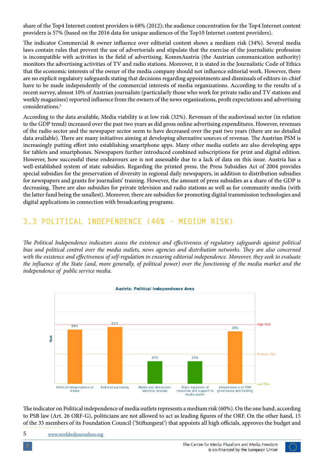share of the Top4 Internet content providers is 68% (2012); the audience concentration for the Top4 Internet content providers is 57% (based on the 2016 data for unique audiences of the Top10 Internet content providers).

The indicator Commercial & owner influence over editorial content shows a medium risk (34%). Several media laws contain rules that prevent the use of advertorials and stipulate that the exercise of the journalistic profession is incompatible with activities in the field of advertising. KommAustria (the Austrian communication authority) monitors the advertising activities of TV and radio stations. Moreover, it is stated in the Journalistic Code of Ethics that the economic interests of the owner of the media company should not influence editorial work. However, there are no explicit regulatory safeguards stating that decisions regarding appointments and dismissals of editors-in-chief have to be made independently of the commercial interests of media organizations. According to the results of a recent survey, almost 10% of Austrian journalists (particularly those who work for private radio and TV stations and weekly magazines) reported influence from the owners of the news organizations, profit expectations and advertising considerations.<sup>5</sup>

According to the data available, Media viability is at low risk (32%). Revenues of the audiovisual sector (in relation to the GDP trend) increased over the past two years as did gross online advertising expenditures. However, revenues of the radio sector and the newspaper sector seem to have decreased over the past two years (there are no detailed data available). There are many initiatives aiming at developing alternative sources of revenue. The Austrian PSM is increasingly putting effort into establishing smartphone apps. Many other media outlets are also developing apps for tablets and smartphones. Newspapers further introduced combined subscriptions for print and digital edition. However, how successful these endeavours are is not assessable due to a lack of data on this issue. Austria has a well-established system of state subsidies. Regarding the printed press, the Press Subsidies Act of 2004 provides special subsidies for the preservation of diversity in regional daily newspapers, in addition to distribution subsidies for newspapers and grants for journalists' training. However, the amount of press subsidies as a share of the GDP is decreasing. There are also subsidies for private television and radio stations as well as for community media (with the latter fund being the smallest). Moreover, there are subsidies for promoting digital transmission technologies and digital applications in connection with broadcasting programs.

#### **3.3 POLITICAL INDEPENDENCE (46% - MEDIUM RISK)**

*The Political Independence indicators assess the existence and effectiveness of regulatory safeguards against political bias and political control over the media outlets, news agencies and distribution networks. They are also concerned with the existence and effectiveness of self-regulation in ensuring editorial independence. Moreover, they seek to evaluate the influence of the State (and, more generally, of political power) over the functioning of the media market and the independence of public service media.*



The indicator on Political independence of media outlets represents a medium risk (60%). On the one hand, according to PSB law (Art. 26 ORF-G), politicians are not allowed to act as leading figures of the ORF. On the other hand, 15 of the 35 members of its Foundation Council ('Stiftungsrat') that appoints all high officials, approves the budget and

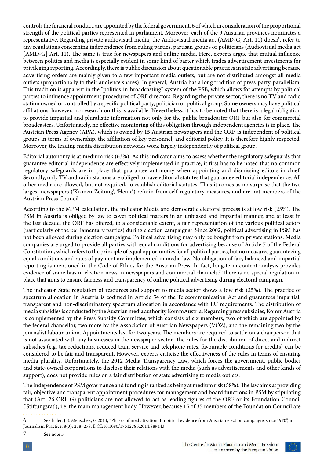controls the financial conduct, are appointed by the federal government, 6 of which in consideration of the proportional strength of the political parties represented in parliament. Moreover, each of the 9 Austrian provinces nominates a representative. Regarding private audiovisual media, the Audiovisual media act (AMD-G, Art. 11) doesn't refer to any regulations concerning independence from ruling parties, partisan groups or politicians (Audiovisual media act [AMD-G] Art. 11). The same is true for newspapers and online media. Here, experts argue that mutual influence between politics and media is especially evident in some kind of barter which trades advertisement investments for privileging reporting. Accordingly, there is public discussion about questionable practices in state advertising because advertising orders are mainly given to a few important media outlets, but are not distributed amongst all media outlets (proportionally to their audience shares). In general, Austria has a long tradition of press-party-parallelism. This tradition is apparent in the "politics-in-broadcasting" system of the PSB, which allows for attempts by political parties to influence appointment procedures of ORF directors. Regarding the private sector, there is no TV and radio station owned or controlled by a specific political party, politician or political group. Some owners may have political affiliations; however, no research on this is available. Nevertheless, it has to be noted that there is a legal obligation to provide impartial and pluralistic information not only for the public broadcaster ORF but also for commercial broadcasters. Unfortunately, no effective monitoring of this obligation through independent agencies is in place. The Austrian Press Agency (APA), which is owned by 15 Austrian newspapers and the ORF, is independent of political groups in terms of ownership, the affiliation of key personnel, and editorial policy. It is therefore highly respected. Moreover, the leading media distribution networks work largely independently of political group.

Editorial autonomy is at medium risk (63%). As this indicator aims to assess whether the regulatory safeguards that guarantee editorial independence are effectively implemented in practice, it first has to be noted that no common regulatory safeguards are in place that guarantee autonomy when appointing and dismissing editors-in-chief. Secondly, only TV and radio stations are obliged to have editorial statutes that guarantee editorial independence. All other media are allowed, but not required, to establish editorial statutes. Thus it comes as no surprise that the two largest newspapers ('Kronen Zeitung', 'Heute') refrain from self-regulatory measures, and are not members of the Austrian Press Council.

According to the MPM calculation, the indicator Media and democratic electoral process is at low risk (25%). The PSM in Austria is obliged by law to cover political matters in an unbiased and impartial manner, and at least in the last decade, the ORF has offered, to a considerable extent, a fair representation of the various political actors (particularly of the parliamentary parties) during election campaigns.<sup>6</sup> Since 2002, political advertising in PSM has not been allowed during election campaigns. Political advertising may only be bought from private stations. Media companies are urged to provide all parties with equal conditions for advertising because of Article 7 of the Federal Constitution, which refers to the principle of equal opportunities for all political parties, but no measures guaranteeing equal conditions and rates of payment are implemented in media law. No obligation of fair, balanced and impartial reporting is mentioned in the Code of Ethics for the Austrian Press. In fact, long-term content analysis provides evidence of some bias in election news in newspapers and commercial channels.<sup>7</sup> There is no special regulation in place that aims to ensure fairness and transparency of online political advertising during electoral campaign.

The indicator State regulation of resources and support to media sector shows a low risk (25%). The practice of spectrum allocation in Austria is codified in Article 54 of the Telecommunication Act and guarantees impartial, transparent and non-discriminatory spectrum allocation in accordance with EU requirements. The distribution of media subsidies is conducted by the Austrian media authority KommAustria. Regarding press subsidies, KommAustria is complemented by the Press Subsidy Committee, which consists of six members, two of which are appointed by the federal chancellor, two more by the Association of Austrian Newspapers (VÖZ), and the remaining two by the journalist labour union. Appointments last for two years. The members are required to settle on a chairperson that is not associated with any businesses in the newspaper sector. The rules for the distribution of direct and indirect subsidies (e.g. tax reductions, reduced train service and telephone rates, favourable conditions for credits) can be considered to be fair and transparent. However, experts criticise the effectiveness of the rules in terms of ensuring media plurality. Unfortunately, the 2012 Media Transparency Law, which forces the government, public bodies and state-owned corporations to disclose their relations with the media (such as advertisements and other kinds of support), does not provide rules on a fair distribution of state advertising to media outlets.

The Independence of PSM governance and funding is ranked as being at medium risk (58%). The law aims at providing fair, objective and transparent appointment procedures for management and board functions in PSM by stipulating that (Art. 26 ORF-G) politicians are not allowed to act as leading figures of the ORF or its Foundation Council ('Stiftungsrat'), i.e. the main management body. However, because 15 of 35 members of the Foundation Council are



<sup>6</sup> Seethaler, J & Melischek, G 2014, "Phases of mediatization: Empirical evidence from Austrian election campaigns since 1970", in Journalism Practice, 8(3): 258–278. DOI:10.1080/17512786.2014.889443

<sup>7</sup> See note 5.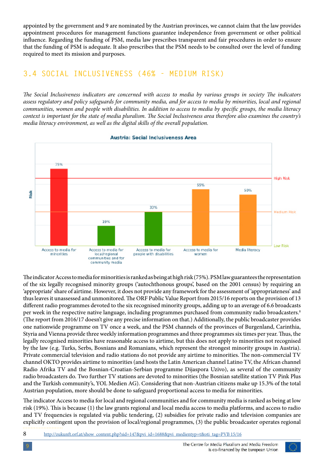appointed by the government and 9 are nominated by the Austrian provinces, we cannot claim that the law provides appointment procedures for management functions guarantee independence from government or other political influence. Regarding the funding of PSM, media law prescribes transparent and fair procedures in order to ensure that the funding of PSM is adequate. It also prescribes that the PSM needs to be consulted over the level of funding required to meet its mission and purposes.

#### **3.4 SOCIAL INCLUSIVENESS (46% - MEDIUM RISK)**

*The Social Inclusiveness indicators are concerned with access to media by various groups in society The indicators assess regulatory and policy safeguards for community media, and for access to media by minorities, local and regional communities, women and people with disabilities. In addition to access to media by specific groups, the media literacy context is important for the state of media pluralism. The Social Inclusiveness area therefore also examines the country's media literacy environment, as well as the digital skills of the overall population.*



 $T$  inclusive ness indicators are concerned with access to media by various groups in society The indicators are concerned with a society The indicators  $T$ 

The indicator Access to media for minorities is ranked as being at high risk (75%). PSM law guarantees the representation of the six legally recognised minority groups ('autochthonous groups', based on the 2001 census) by requiring an 'appropriate' share of airtime. However, it does not provide any framework for the assessment of 'appropriateness' and thus leaves it unassessed and unmonitored. The ORF Public Value Report from 2015/16 reports on the provision of 13 different radio programmes devoted to the six recognised minority groups, adding up to an average of 6.6 broadcasts per week in the respective native language, including programmes purchased from community radio broadcasters.<sup>8</sup> (The report from 2016/17 doesn't give any precise information on that.) Additionally, the public broadcaster provides one nationwide programme on TV once a week, and the PSM channels of the provinces of Burgenland, Carinthia, Styria and Vienna provide three weekly information programmes and three programmes six times per year. Thus, the legally recognised minorities have reasonable access to airtime, but this does not apply to minorities not recognised by the law (e.g. Turks, Serbs, Bosnians and Romanians, which represent the strongest minority groups in Austria). Private commercial television and radio stations do not provide any airtime to minorities. The non-commercial TV channel OKTO provides airtime to minorities (and hosts the Latin American channel Latino TV, the African channel Radio Afrika TV and the Bosnian-Croatian-Serbian programme Dijaspora Uzivo), as several of the community radio broadcasters do. Two further TV stations are devoted to minorities (the Bosnian satellite station TV Pink Plus and the Turkish community's, YOL Medien AG). Considering that non-Austrian citizens make up 15.3% of the total Austrian population, more should be done to safeguard proportional access to media for minorities.

The indicator Access to media for local and regional communities and for community media is ranked as being at low risk (19%). This is because (1) the law grants regional and local media access to media platforms, and access to radio and TV frequencies is regulated via public tendering, (2) subsidies for private radio and television companies are explicitly contingent upon the provision of local/regional programmes, (3) the public broadcaster operates regional

8 [http://zukunft.orf.at/show\\_content.php?sid=147&pvi\\_id=1688&pvi\\_medientyp=t&oti\\_tag=PVB](http://zukunft.orf.at/show_content.php?sid=147&pvi_id=1688&pvi_medientyp=t&oti_tag=PVB) 15/16

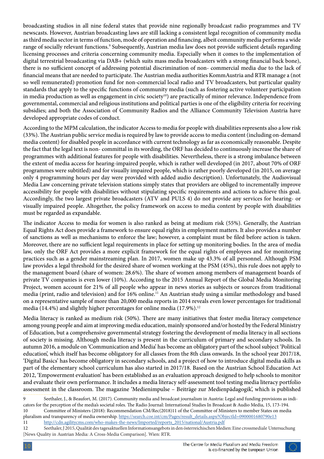broadcasting studios in all nine federal states that provide nine regionally broadcast radio programmes and TV newscasts. However, Austrian broadcasting laws are still lacking a consistent legal recognition of community media as third media sector in terms of function, mode of operation and financing, albeit community media performs a wide range of socially relevant functions.<sup>9</sup> Subsequently, Austrian media law does not provide sufficient details regarding licensing processes and criteria concerning community media. Especially when it comes to the implementation of digital terrestrial broadcasting via DAB+ (which suits mass media broadcasters with a strong financial back bone), there is no sufficient concept of addressing potential discrimination of non- commercial media due to the lack of financial means that are needed to participate. The Austrian media authorities KommAustria and RTR manage a (not so well remunerated) promotion fund for non-commercial local radio and TV broadcasters, but particular quality standards that apply to the specific functions of community media (such as fostering active volunteer participation in media production as well as engagement in civic society<sup>10</sup>) are practically of minor relevance. Independence from governmental, commercial and religious institutions and political parties is one of the eligibility criteria for receiving subsidies; and both the Association of Community Radios and the Alliance Community Television Austria have developed appropriate codes of conduct.

According to the MPM calculation, the indicator Access to media for people with disabilities represents also a low risk (33%). The Austrian public service media is required by law to provide access to media content (including on-demand media content) for disabled people in accordance with current technology as far as economically reasonable. Despite the fact that the legal text is non- committal in its wording, the ORF has decided to continuously increase the share of programmes with additional features for people with disabilities. Nevertheless, there is a strong imbalance between the extent of media access for hearing-impaired people, which is rather well developed (in 2017, about 70% of ORF programmes were subtitled) and for visually impaired people, which is rather poorly developed (in 2015, on average only 4 programming hours per day were provided with added audio description). Unfortunately, the Audiovisual Media Law concerning private television stations simply states that providers are obliged to incrementally improve accessibility for people with disabilities without stipulating specific requirements and actions to achieve this goal. Accordingly, the two largest private broadcasters (ATV and PULS 4) do not provide any services for hearing- or visually impaired people. Altogether, the policy framework on access to media content by people with disabilities must be regarded as expandable.

The indicator Access to media for women is also ranked as being at medium risk (55%). Generally, the Austrian Equal Rights Act does provide a framework to ensure equal rights in employment matters. It also provides a number of sanctions as well as mechanisms to enforce the law; however, a complaint must be filed before action is taken. Moreover, there are no sufficient legal requirements in place for setting up monitoring bodies. In the area of media law, only the ORF Act provides a more explicit framework for the equal rights of employees and for monitoring practices such as a gender mainstreaming plan. In 2017, women make up 43.3% of all personnel. Although PSM law provides a legal threshold for the desired share of women working at the PSM (45%), this rule does not apply to the management board (share of women: 28.6%). The share of women among members of management boards of private TV companies is even lower (10%). According to the 2015 Annual Report of the Global Media Monitoring Project, women account for 21% of all people who appear in news stories as subjects or sources from traditional media (print, radio and television) and for 16% online.<sup>11</sup> An Austrian study using a similar methodology and based on a representative sample of more than 20,000 media reports in 2014 reveals even lower percentages for traditional media (14.4%) and slightly higher percentages for online media (17.9%).<sup>12</sup>

Media literacy is ranked as medium risk (50%). There are many initiatives that foster media literacy competence among young people and aim at improving media education, mainly sponsored and/or hosted by the Federal Ministry of Education, but a comprehensive governmental strategy fostering the development of media literacy in all sections of society is missing. Although media literacy is present in the curriculum of primary and secondary schools. In autumn 2016, a module on 'Communication and Media' has become an obligatory part of the school subject 'Political education', which itself has become obligatory for all classes from the 8th class onwards. In the school year 2017/18, 'Digital Basics' has become obligatory in secondary schools, and a project of how to introduce digital media skills as part of the elementary school curriculum has also started in 2017/18. Based on the Austrian School Education Act 2012, 'Empowerment evaluation' has been established as an evaluation approach designed to help schools to monitor and evaluate their own performance. It includes a media literacy self-assessment tool testing media literacy portfolio assessment in the classroom. The magazine 'Medienimpulse – Beiträge zur Medienpädagogik', which is published

12 Seethaler, J 2015, Qualität des tagesaktuellen Informationsangebots in den österreichischen Medien: Eine crossmediale Untersuchung [News Quality in Austrian Media: A Cross-Media Comparison]. Wien: RTR.



<sup>9</sup> Seethaler, J., & Beaufort, M. (2017). Community media and broadcast journalism in Austria: Legal and funding provisions as indicators for the perception of the media's societal roles. The Radio Journal: International Studies In Broadcast & Audio Media, 15, 173-194. 10 Committee of Ministers (2018): Recommendation CM/Rec(2018)11 of the Committee of Ministers to member States on media

pluralism and transparency of media ownership. [https://search.coe.int/cm/Pages/result\\_details.aspx?ObjectId=0900001680790e13](https://search.coe.int/cm/Pages/result_details.aspx?ObjectId=0900001680790e13) 11 [http://cdn.agilitycms.com/who-makes-the-news/Imported/reports\\_2015/national/Austria.pdf](http://cdn.agilitycms.com/who-makes-the-news/Imported/reports_2015/national/Austria.pdf)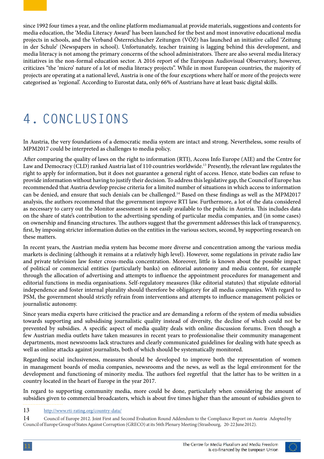since 1992 four times a year, and the online platform mediamanual.at provide materials, suggestions and contents for media education, the 'Media Literacy Award' has been launched for the best and most innovative educational media projects in schools, and the Verband Österreichischer Zeitungen (VÖZ) has launched an initiative called 'Zeitung in der Schule' (Newspapers in school). Unfortunately, teacher training is lagging behind this development, and media literacy is not among the primary concerns of the school administrators. There are also several media literacy initiatives in the non-formal education sector. A 2016 report of the European Audiovisual Observatory, however, criticizes "the 'micro' nature of a lot of media literacy projects". While in most European countries, the majority of projects are operating at a national level, Austria is one of the four exceptions where half or more of the projects were categorised as 'regional'. According to Eurostat data, only 66% of Austrians have at least basic digital skills.

### **4. CONCLUSIONS**

In Austria, the very foundations of a democratic media system are intact and strong. Nevertheless, some results of MPM2017 could be interpreted as challenges to media policy.

After comparing the quality of laws on the right to information (RTI), Access Info Europe (AIE) and the Centre for Law and Democracy (CLD) ranked Austria last of 110 countries worldwide.<sup>13</sup> Presently, the relevant law regulates the right to apply for information, but it does not guarantee a general right of access. Hence, state bodies can refuse to provide information without having to justify their decision. To address this legislative gap, the Council of Europe has recommended that Austria develop precise criteria for a limited number of situations in which access to information can be denied, and ensure that such denials can be challenged.<sup>14</sup> Based on these findings as well as the MPM2017 analysis, the authors recommend that the government improve RTI law. Furthermore, a lot of the data considered as necessary to carry out the Monitor assessment is not easily available to the public in Austria. This includes data on the share of state's contribution to the advertising spending of particular media companies, and (in some cases) on ownership and financing structures. The authors suggest that the government addresses this lack of transparency, first, by imposing stricter information duties on the entities in the various sectors, second, by supporting research on these matters.

In recent years, the Austrian media system has become more diverse and concentration among the various media markets is declining (although it remains at a relatively high level). However, some regulations in private radio law and private television law foster cross-media concentration. Moreover, little is known about the possible impact of political or commercial entities (particularly banks) on editorial autonomy and media content, for example through the allocation of advertising and attempts to influence the appointment procedures for management and editorial functions in media organisations. Self-regulatory measures (like editorial statutes) that stipulate editorial independence and foster internal plurality should therefore be obligatory for all media companies. With regard to PSM, the government should strictly refrain from interventions and attempts to influence management policies or journalistic autonomy.

Since years media experts have criticised the practice and are demanding a reform of the system of media subsidies towards supporting and subsidising journalistic quality instead of diversity, the decline of which could not be prevented by subsidies. A specific aspect of media quality deals with online discussion forums. Even though a few Austrian media outlets have taken measures in recent years to professionalise their community management departments, most newsrooms lack structures and clearly communicated guidelines for dealing with hate speech as well as online attacks against journalists, both of which should be systematically monitored.

Regarding social inclusiveness, measures should be developed to improve both the representation of women in management boards of media companies, newsrooms and the news, as well as the legal environment for the development and functioning of minority media. The authors feel regretful that the latter has to be written in a country located in the heart of Europe in the year 2017.

In regard to supporting community media, more could be done, particularly when considering the amount of subsidies given to commercial broadcasters, which is about five times higher than the amount of subsidies given to

13 <http://www.rti-rating.org/country-data/>

14 Council of Europe 2012. Joint First and Second Evaluation Round Addendum to the Compliance Report on Austria Adopted by Council of Europe Group of States Against Corruption (GRECO) at its 56th Plenary Meeting (Strasbourg, 20-22 June 2012).

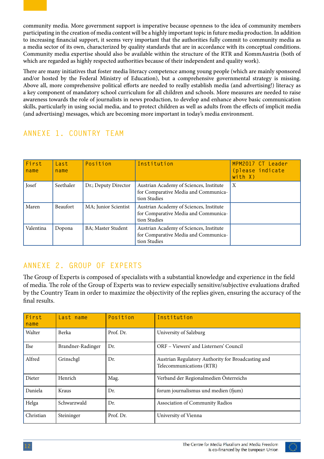community media. More government support is imperative because openness to the idea of community members participating in the creation of media content will be a highly important topic in future media production. In addition to increasing financial support, it seems very important that the authorities fully commit to community media as a media sector of its own, characterized by quality standards that are in accordance with its conceptual conditions. Community media expertise should also be available within the structure of the RTR and KommAustria (both of which are regarded as highly respected authorities because of their independent and quality work).

There are many initiatives that foster media literacy competence among young people (which are mainly sponsored and/or hosted by the Federal Ministry of Education), but a comprehensive governmental strategy is missing. Above all, more comprehensive political efforts are needed to really establish media (and advertising!) literacy as a key component of mandatory school curriculum for all children and schools. More measures are needed to raise awareness towards the role of journalists in news production, to develop and enhance above basic communication skills, particularly in using social media, and to protect children as well as adults from the effects of implicit media (and advertising) messages, which are becoming more important in today's media environment.

#### **First name Last name Position Institution MPM2017 CT Leader (please indicate with X)** Josef Seethaler Dr.; Deputy Director Austrian Academy of Sciences, Institute for Comparative Media and Communication Studies X Maren Beaufort | MA; Junior Scientist | Austrian Academy of Sciences, Institute for Comparative Media and Communication Studies Valentina Dopona BA; Master Student Austrian Academy of Sciences, Institute for Comparative Media and Communication Studies

#### **ANNEXE 1. COUNTRY TEAM**

### **ANNEXE 2. GROUP OF EXPERTS**

The Group of Experts is composed of specialists with a substantial knowledge and experience in the field of media. The role of the Group of Experts was to review especially sensitive/subjective evaluations drafted by the Country Team in order to maximize the objectivity of the replies given, ensuring the accuracy of the final results.

| First<br>name | Last name         | Position  | Institution                                                                    |
|---------------|-------------------|-----------|--------------------------------------------------------------------------------|
| Walter        | Berka             | Prof. Dr. | University of Salzburg                                                         |
| <b>Ilse</b>   | Brandner-Radinger | Dr.       | ORF - Viewers' and Listerners' Council                                         |
| Alfred        | Grinschgl         | Dr.       | Austrian Regulatory Authority for Broadcasting and<br>Telecommunications (RTR) |
| Dieter        | Henrich           | Mag.      | Verband der Regionalmedien Österreichs                                         |
| Daniela       | Kraus             | Dr.       | forum journalismus und medien (fjum)                                           |
| Helga         | Schwarzwald       | Dr.       | <b>Association of Community Radios</b>                                         |
| Christian     | Steininger        | Prof. Dr. | University of Vienna                                                           |